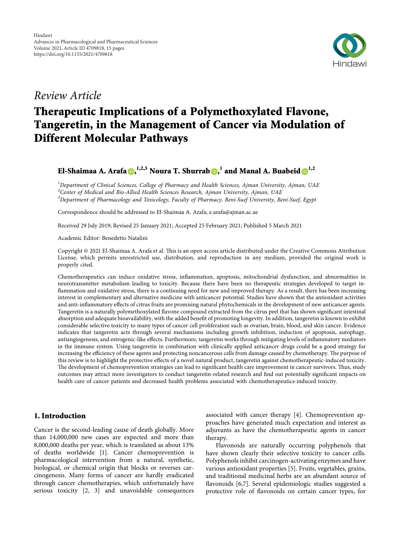

## Review Article

# Therapeutic Implications of a Polymethoxylated Flavone, Tangeretin, in the Management of Cancer via Modulation of Different Molecular Pathways

El-Shaimaa A. Arafa <mark>O[,](https://orcid.org/0000-0002-4909-6627) <sup>[1](https://orcid.org/0000-0002-5519-1698),2,3</sup> Noura T. Shurrab O,<sup>1</sup> and Manal A. Buabeid O<sup>1,2</sup></mark>

<sup>1</sup>Department of Clinical Sciences, College of Pharmacy and Health Sciences, Ajman University, Ajman, UAE <sup>2</sup>Center of Medical and Bio-Allied Health Sciences Research, Ajman University, Ajman, UAE <sup>3</sup>Department of Pharmacology and Toxicology, Faculty of Pharmacy, Beni-Suef University, Beni-Suef, Egypt

Correspondence should be addressed to El-Shaimaa A. Arafa; [e.arafa@ajman.ac.ae](mailto:e.arafa@ajman.ac.ae)

Received 29 July 2019; Revised 25 January 2021; Accepted 25 February 2021; Published 5 March 2021

Academic Editor: Benedetto Natalini

Copyright © 2021 El-Shaimaa A. Arafa et al. This is an open access article distributed under the [Creative Commons Attribution](https://creativecommons.org/licenses/by/4.0/) [License,](https://creativecommons.org/licenses/by/4.0/) which permits unrestricted use, distribution, and reproduction in any medium, provided the original work is properly cited.

Chemotherapeutics can induce oxidative stress, inflammation, apoptosis, mitochondrial dysfunction, and abnormalities in neurotransmitter metabolism leading to toxicity. Because there have been no therapeutic strategies developed to target inflammation and oxidative stress, there is a continuing need for new and improved therapy. As a result, there has been increasing interest in complementary and alternative medicine with anticancer potential. Studies have shown that the antioxidant activities and anti-inflammatory effects of citrus fruits are promising natural phytochemicals in the development of new anticancer agents. Tangeretin is a naturally polymethoxylated flavone compound extracted from the citrus peel that has shown significant intestinal absorption and adequate bioavailability, with the added benefit of promoting longevity. In addition, tangeretin is known to exhibit considerable selective toxicity to many types of cancer cell proliferation such as ovarian, brain, blood, and skin cancer. Evidence indicates that tangeretin acts through several mechanisms including growth inhibition, induction of apoptosis, autophagy, antiangiogenesis, and estrogenic-like effects. Furthermore, tangeretin works through mitigating levels of inflammatory mediators in the immune system. Using tangeretin in combination with clinically applied anticancer drugs could be a good strategy for increasing the efficiency of these agents and protecting noncancerous cells from damage caused by chemotherapy. The purpose of this review is to highlight the protective effects of a novel natural product, tangeretin against chemotherapeutic-induced toxicity. The development of chemoprevention strategies can lead to significant health care improvement in cancer survivors. Thus, study outcomes may attract more investigators to conduct tangeretin-related research and find out potentially significant impacts on health care of cancer patients and decreased health problems associated with chemotherapeutics-induced toxicity.

## 1. Introduction

Cancer is the second-leading cause of death globally. More than 14,000,000 new cases are expected and more than 8,000,000 deaths per year, which is translated as about 13% of deaths worldwide [\[1](#page-10-0)]. Cancer chemoprevention is pharmacological intervention from a natural, synthetic, biological, or chemical origin that blocks or reverses carcinogenesis. Many forms of cancer are hardly eradicated through cancer chemotherapies, which unfortunately have serious toxicity [\[2](#page-10-0), [3\]](#page-10-0) and unavoidable consequences associated with cancer therapy [\[4\]](#page-10-0). Chemoprevention approaches have generated much expectation and interest as adjuvants as have the chemotherapeutic agents in cancer therapy.

Flavonoids are naturally occurring polyphenols that have shown clearly their selective toxicity to cancer cells. Polyphenols inhibit carcinogen-activating enzymes and have various antioxidant properties[[5\]](#page-10-0). Fruits, vegetables, grains, and traditional medicinal herbs are an abundant source of flavonoids[[6](#page-10-0),[7](#page-10-0)]. Several epidemiologic studies suggested a protective role of flavonoids on certain cancer types, for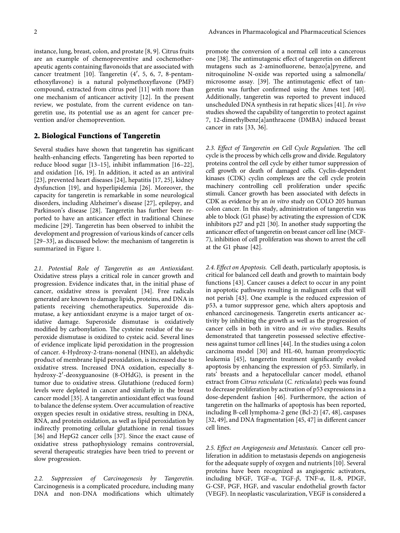instance, lung, breast, colon, and prostate[[8, 9\]](#page-10-0). Citrus fruits are an example of chemopreventive and cochemotherapeutic agents containing flavonoids that are associated with cancer treatment[[10](#page-10-0)]. Tangeretin (4′, 5, 6, 7, 8-pentamethoxyflavone) is a natural polymethoxyflavone (PMF) compound, extracted from citrus peel[[11\]](#page-10-0) with more than one mechanism of anticancer activity[[12\]](#page-10-0). In the present review, we postulate, from the current evidence on tangeretin use, its potential use as an agent for cancer prevention and/or chemoprevention.

## 2. Biological Functions of Tangeretin

Several studies have shown that tangeretin has significant health-enhancing effects. Tangereting has been reported to reduce blood sugar[[13–15](#page-10-0)], inhibit inflammation[[16–](#page-10-0)[22](#page-11-0)], and oxidation[[16, 19\]](#page-10-0). In addition, it acted as an antiviral [\[23\]](#page-11-0), prevented heart diseases[[24\]](#page-11-0), hepatitis[[17,](#page-10-0) [25\]](#page-11-0), kidney dysfunction [\[19](#page-10-0)], and hyperlipidemia[[26\]](#page-11-0). Moreover, the capacity for tangeretin is remarkable in some neurological disorders, including Alzheimer's disease [\[27\]](#page-11-0), epilepsy, and Parkinson's disease [\[28\]](#page-11-0). Tangeretin has further been reported to have an anticancer effect in traditional Chinese medicine[[29](#page-11-0)]. Tangeretin has been observed to inhibit the development and progression of various kinds of cancer cells [\[29–33\]](#page-11-0), as discussed below: the mechanism of tangeretin is summarized in Figure [1](#page-2-0).

2.1. Potential Role of Tangeretin as an Antioxidant. Oxidative stress plays a critical role in cancer growth and progression. Evidence indicates that, in the initial phase of cancer, oxidative stress is prevalent [\[34](#page-11-0)]. Free radicals generated are known to damage lipids, proteins, and DNA in patients receiving chemotherapeutics. Superoxide dismutase, a key antioxidant enzyme is a major target of oxidative damage. Superoxide dismutase is oxidatively modified by carbonylation. The cysteine residue of the superoxide dismutase is oxidized to cysteic acid. Several lines of evidence implicate lipid peroxidation in the progression of cancer. 4-Hydroxy-2-trans-nonenal (HNE), an aldehydic product of membrane lipid peroxidation, is increased due to oxidative stress. Increased DNA oxidation, especially 8 hydroxy-2′-deoxyguanosine (8-OHdG), is present in the tumor due to oxidative stress. Glutathione (reduced form) levels were depleted in cancer and similarly in the breast cancer model[[35](#page-11-0)]. A tangeretin antioxidant effect was found to balance the defense system. Over accumulation of reactive oxygen species result in oxidative stress, resulting in DNA, RNA, and protein oxidation, as well as lipid peroxidation by indirectly promoting cellular glutathione in renal tissues [\[36\]](#page-11-0) and HepG2 cancer cells[[37](#page-11-0)]. Since the exact cause of oxidative stress pathophysiology remains controversial, several therapeutic strategies have been tried to prevent or slow progression.

2.2. Suppression of Carcinogenesis by Tangeretin. Carcinogenesis is a complicated procedure, including many DNA and non-DNA modifications which ultimately

promote the conversion of a normal cell into a cancerous one[[38](#page-11-0)]. The antimutagenic effect of tangeretin on different mutagens such as 2-aminofluorene, benzo[a]pyrene, and nitroquinoline N-oxide was reported using a salmonella/ microsome assay. [\[39\]](#page-11-0). The antimutagenic effect of tangeretin was further confirmed using the Ames test[[40](#page-11-0)]. Additionally, tangeretin was reported to prevent induced unscheduled DNA synthesis in rat hepatic slices [\[41](#page-11-0)]. In vivo studies showed the capability of tangeretin to protect against 7, 12-dimethylbenz[a]anthracene (DMBA) induced breast cancer in rats [\[33, 36](#page-11-0)].

2.3. Effect of Tangeretin on Cell Cycle Regulation. The cell cycle is the process by which cells grow and divide. Regulatory proteins control the cell cycle by either tumor suppression of cell growth or death of damaged cells. Cyclin-dependent kinases (CDK) cyclin complexes are the cell cycle protein machinery controlling cell proliferation under specific stimuli. Cancer growth has been associated with defects in CDK as evidence by an in vitro study on COLO 205 human colon cancer. In this study, administration of tangeretin was able to block (G1 phase) by activating the expression of CDK inhibitors p27 and p21[[30](#page-11-0)]. In another study supporting the anticancer effect of tangeretin on breast cancer cell line (MCF-7), inhibition of cell proliferation was shown to arrest the cell at the G1 phase [\[42\]](#page-11-0).

2.4. Effect on Apoptosis. Cell death, particularly apoptosis, is critical for balanced cell death and growth to maintain body functions[[43](#page-11-0)]. Cancer causes a defect to occur in any point in apoptotic pathways resulting in malignant cells that will not perish[[43](#page-11-0)]. One example is the reduced expression of p53, a tumor suppressor gene, which alters apoptosis and enhanced carcinogenesis. Tangeretin exerts anticancer activity by inhibiting the growth as well as the progression of cancer cells in both in vitro and in vivo studies. Results demonstrated that tangeretin possessed selective effectiveness against tumor cell lines[[44](#page-11-0)]. In the studies using a colon carcinoma model[[30](#page-11-0)] and HL-60, human promyelocytic leukemia [\[45\]](#page-11-0), tangeretin treatment significantly evoked apoptosis by enhancing the expression of p53. Similarly, in rats' breasts and a hepatocellular cancer model, ethanol extract from Citrus reticulata (C. reticulata) peels was found to decrease proliferation by activation of p53 expressions in a dose-dependent fashion[[46](#page-11-0)]. Furthermore, the action of tangeretin on the hallmarks of apoptosis has been reported, including B-cell lymphoma-2 gene (Bcl-2)[[47](#page-11-0), [48\]](#page-11-0), caspases [\[32, 49\]](#page-11-0), and DNA fragmentation [\[45, 47\]](#page-11-0) in different cancer cell lines.

2.5. Effect on Angiogenesis and Metastasis. Cancer cell proliferation in addition to metastasis depends on angiogenesis for the adequate supply of oxygen and nutrients[[10\]](#page-10-0). Several proteins have been recognized as angiogenic activators, including bFGF, TGF- $\alpha$ , TGF- $\beta$ , TNF- $\alpha$ , IL-8, PDGF, G-CSF, PGF, HGF, and vascular endothelial growth factor (VEGF). In neoplastic vascularization, VEGF is considered a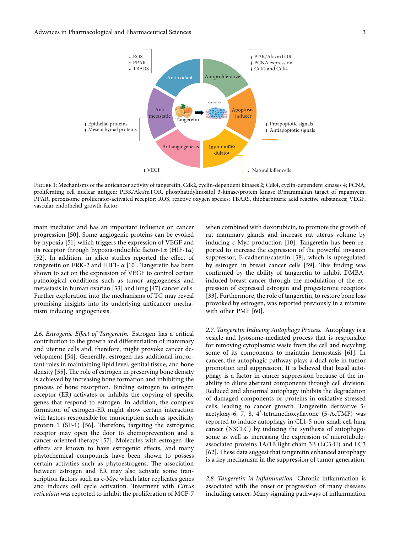<span id="page-2-0"></span>

Figure 1: Mechanisms of the anticancer activity of tangeretin. Cdk2, cyclin-dependent kinases 2; Cdk4, cyclin-dependent kinases 4; PCNA, proliferating cell nuclear antigen; PI3K/Akt/mTOR, phosphatidylinositol 3-kinase/protein kinase B/mammalian target of rapamycin; PPAR, peroxisome proliferator-activated receptor; ROS, reactive oxygen species; TBARS, thiobarbituric acid reactive substances; VEGF, vascular endothelial growth factor.

main mediator and has an important influence on cancer progression[[50](#page-12-0)]. Some angiogenic proteins can be evoked by hypoxia [\[51](#page-12-0)] which triggers the expression of VEGF and its receptor through hypoxia-inducible factor-1 $\alpha$  (HIF-1 $\alpha$ ) [\[52\]](#page-12-0). In addition, in silico studies reported the effect of tangeretin on ERK-2 and HIF1-  $\alpha$  [\[10](#page-10-0)]. Tangeretin has been shown to act on the expression of VEGF to control certain pathological conditions such as tumor angiogenesis and metastasis in human ovarian [\[53](#page-12-0)] and lung[[47](#page-11-0)] cancer cells. Further exploration into the mechanisms of TG may reveal promising insights into its underlying anticancer mechanism inducing angiogenesis.

2.6. Estrogenic Effect of Tangeretin. Estrogen has a critical contribution to the growth and differentiation of mammary and uterine cells and, therefore, might provoke cancer development[[54](#page-12-0)]. Generally, estrogen has additional important roles in maintaining lipid level, genital tissue, and bone density[[55](#page-12-0)]. The role of estrogen in preserving bone density is achieved by increasing bone formation and inhibiting the process of bone resorption. Binding estrogen to estrogen receptor (ER) activates or inhibits the copying of specific genes that respond to estrogen. In addition, the complex formation of estrogen-ER might show certain interaction with factors responsible for transcription such as specificity protein $1$  (SP-1) [[56](#page-12-0)]. Therefore, targeting the estrogenic receptor may open the door to chemoprevention and a cancer-oriented therapy [\[57\]](#page-12-0). Molecules with estrogen-like effects are known to have estrogenic effects, and many phytochemical compounds have been shown to possess certain activities such as phytoestrogens. The association between estrogen and ER may also activate some transcription factors such as c-Myc which later replicates genes and induces cell cycle activation. Treatment with Citrus reticulata was reported to inhibit the proliferation of MCF-7

when combined with doxorubicin, to promote the growth of rat mammary glands and increase rat uterus volume by inducing c-Myc production[[10\]](#page-10-0). Tangeretin has been reported to increase the expression of the powerful invasion suppressor, E-cadherin/catenin [\[58\]](#page-12-0), which is upregulated by estrogen in breast cancer cells [\[59\]](#page-12-0). This finding was confirmed by the ability of tangeretin to inhibit DMBAinduced breast cancer through the modulation of the expression of expressed estrogen and progesterone receptors [\[33\]](#page-11-0). Furthermore, the role of tangeretin, to restore bone loss provoked by estrogen, was reported previously in a mixture with other PMF [\[60\]](#page-12-0).

2.7. Tangeretin Inducing Autophagy Process. Autophagy is a vesicle and lysosome-mediated process that is responsible for removing cytoplasmic waste from the cell and recycling some of its components to maintain hemostasis[[61\]](#page-12-0). In cancer, the autophagic pathway plays a dual role in tumor promotion and suppression. It is believed that basal autophagy is a factor in cancer suppression because of the inability to dilute aberrant components through cell division. Reduced and abnormal autophagy inhibits the degradation of damaged components or proteins in oxidative-stressed cells, leading to cancer growth. Tangeretin derivative 5 acetyloxy-6, 7, 8, 4′-tetramethoxyflavone (5-AcTMF) was reported to induce autophagy in CL1-5 non-small cell lung cancer (NSCLC) by inducing the synthesis of autophagosome as well as increasing the expression of microtubuleassociated proteins 1A/1B light chain 3B (LC3-II) and LC3 [\[62\]](#page-12-0). These data suggest that tangeretin enhanced autophagy is a key mechanism in the suppression of tumor generation.

2.8. Tangeretin in Inflammation. Chronic inflammation is associated with the onset or progression of many diseases including cancer. Many signaling pathways of inflammation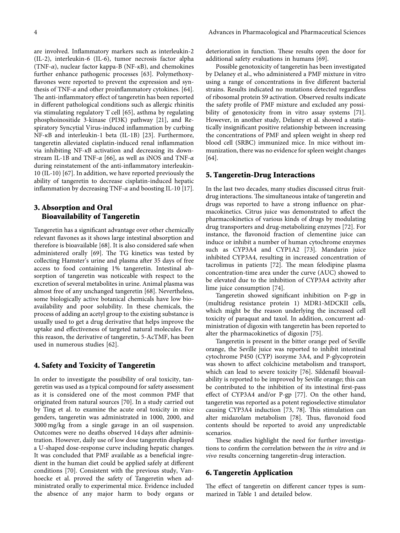are involved. Inflammatory markers such as interleukin-2 (IL-2), interleukin-6 (IL-6), tumor necrosis factor alpha (TNF- $\alpha$ ), nuclear factor kappa-B (NF- $\kappa$ B), and chemokines further enhance pathogenic processes [\[63\]](#page-12-0). Polymethoxyflavones were reported to prevent the expression and synthesisof TNF- $\alpha$  and other proinflammatory cytokines. [[64](#page-12-0)]. The anti-inflammatory effect of tangeretin has been reported in different pathological conditions such as allergic rhinitis via stimulating regulatory T cell [\[65\]](#page-12-0), asthma by regulating phosphoinositide 3-kinase (PI3K) pathway[[21\]](#page-10-0), and Respiratory Syncytial Virus-induced inflammation by curbing NF-κB and interleukin-1 beta (IL-1B) [\[23\]](#page-11-0). Furthermore, tangeretin alleviated cisplatin-induced renal inflammation via inhibiting NF-κB activation and decreasing its downstream IL-1B and TNF- $\alpha$  [[66](#page-12-0)], as well as iNOS and TNF- $\alpha$ during reinstatement of the anti-inflammatory interleukin-10 (IL-10) [\[67\]](#page-12-0). In addition, we have reported previously the ability of tangeretin to decrease cisplatin-induced hepatic inflammation by decreasing TNF- $\alpha$  and boosting IL-10 [\[17](#page-10-0)].

## 3. Absorption and Oral Bioavailability of Tangeretin

Tangeretin has a significant advantage over other chemically relevant flavones as it shows large intestinal absorption and therefore is bioavailable [\[68\]](#page-12-0). It is also considered safe when administeredorally [[69](#page-12-0)]. The TG kinetics was tested by collecting Hamster's urine and plasma after 35 days of free access to food containing 1% tangeretin. Intestinal absorption of tangeretin was noticeable with respect to the excretion of several metabolites in urine. Animal plasma was almost free of any unchanged tangeretin [\[68\]](#page-12-0). Nevertheless, some biologically active botanical chemicals have low bioavailability and poor solubility. In these chemicals, the process of adding an acetyl group to the existing substance is usually used to get a drug derivative that helps improve the uptake and effectiveness of targeted natural molecules. For this reason, the derivative of tangeretin, 5-AcTMF, has been used in numerous studies[[62](#page-12-0)].

## 4. Safety and Toxicity of Tangeretin

In order to investigate the possibility of oral toxicity, tangeretin was used as a typical compound for safety assessment as it is considered one of the most common PMF that originated from natural sources [\[70\]](#page-12-0). In a study carried out by Ting et al. to examine the acute oral toxicity in mice genders, tangeretin was administrated in 1000, 2000, and 3000 mg/kg from a single gavage in an oil suspension. Outcomes were no deaths observed 14 days after administration. However, daily use of low dose tangeretin displayed a U-shaped dose-response curve including hepatic changes. It was concluded that PMF available as a beneficial ingredient in the human diet could be applied safely at different conditions[[70](#page-12-0)]. Consistent with the previous study, Vanhoecke et al. proved the safety of Tangeretin when administrated orally to experimental mice. Evidence included the absence of any major harm to body organs or deterioration in function. These results open the door for additional safety evaluations in humans [\[69\]](#page-12-0).

Possible genotoxicity of tangeretin has been investigated by Delaney et al., who administered a PMF mixture in vitro using a range of concentrations in five different bacterial strains. Results indicated no mutations detected regardless of ribosomal protein S9 activation. Observed results indicate the safety profile of PMF mixture and excluded any possi-bility of genotoxicity from in vitro assay systems [\[71](#page-12-0)]. However, in another study, Delaney et al. showed a statistically insignificant positive relationship between increasing the concentrations of PMF and spleen weight in sheep red blood cell (SRBC) immunized mice. In mice without immunization, there was no evidence for spleen weight changes [\[64\]](#page-12-0).

## 5. Tangeretin-Drug Interactions

In the last two decades, many studies discussed citrus fruitdrug interactions. The simultaneous intake of tangeretin and drugs was reported to have a strong influence on pharmacokinetics. Citrus juice was demonstrated to affect the pharmacokinetics of various kinds of drugs by modulating drug transporters and drug-metabolizing enzymes [\[72\]](#page-12-0). For instance, the flavonoid fraction of clementine juice can induce or inhibit a number of human cytochrome enzymes such as CYP3A4 and CYP1A2 [\[73\]](#page-12-0). Mandarin juice inhibited CYP3A4, resulting in increased concentration of tacrolimus in patients [\[72\]](#page-12-0). The mean felodipine plasma concentration-time area under the curve (AUC) showed to be elevated due to the inhibition of CYP3A4 activity after lime juice consumption [\[74\]](#page-12-0).

Tangeretin showed significant inhibition on P-gp in (multidrug resistance protein 1) MDR1-MDCKII cells, which might be the reason underlying the increased cell toxicity of paraquat and taxol. In addition, concurrent administration of digoxin with tangeretin has been reported to alter the pharmacokinetics of digoxin [\[75\]](#page-12-0).

Tangeretin is present in the bitter orange peel of Seville orange, the Seville juice was reported to inhibit intestinal cytochrome P450 (CYP) isozyme 3A4, and P-glycoprotein was shown to affect colchicine metabolism and transport, which can lead to severe toxicity[[76](#page-12-0)]. Sildenafil bioavailability is reported to be improved by Seville orange; this can be contributed to the inhibition of its intestinal first-pass effect of CYP3A4 and/or P-gp[[77](#page-12-0)]. On the other hand, tangeretin was reported as a potent regioselective stimulator causingCYP3A4 induction  $[73, 78]$  $[73, 78]$  $[73, 78]$  $[73, 78]$  $[73, 78]$ . This stimulation can altermidazolam metabolism [[78](#page-12-0)]. Thus, flavonoid food contents should be reported to avoid any unpredictable scenarios.

These studies highlight the need for further investigations to confirm the correlation between the in vitro and in vivo results concerning tangeretin-drug interaction.

#### 6. Tangeretin Application

The effect of tangeretin on different cancer types is summarized in Table [1](#page-4-0) and detailed below.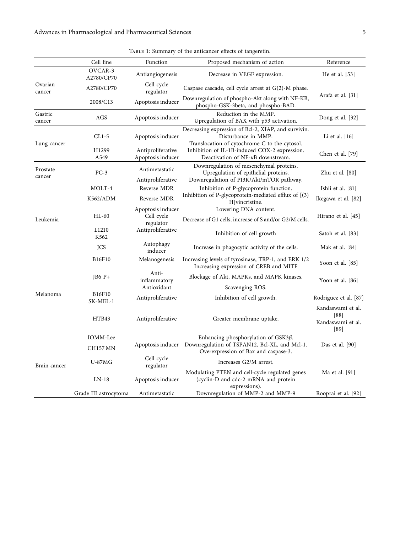<span id="page-4-0"></span>

|                    | Cell line                 | Function                                     | Proposed mechanism of action                                                                                                                | Reference                                              |
|--------------------|---------------------------|----------------------------------------------|---------------------------------------------------------------------------------------------------------------------------------------------|--------------------------------------------------------|
|                    | OVCAR-3<br>A2780/CP70     | Antiangiogenesis                             | Decrease in VEGF expression.                                                                                                                | He et al. [53]                                         |
| Ovarian<br>cancer  | A2780/CP70                | Cell cycle<br>regulator                      | Caspase cascade, cell cycle arrest at $G(2)$ -M phase.                                                                                      |                                                        |
|                    | 2008/C13                  | Apoptosis inducer                            | Downregulation of phospho-Akt along with NF-KB,<br>phospho-GSK-3beta, and phospho-BAD.                                                      | Arafa et al. [31]                                      |
| Gastric<br>cancer  | AGS                       | Apoptosis inducer                            | Reduction in the MMP.<br>Upregulation of BAX with p53 activation.                                                                           | Dong et al. $[32]$                                     |
| Lung cancer        | CL1-5                     | Apoptosis inducer                            | Decreasing expression of Bcl-2, XIAP, and survivin.<br>Disturbance in MMP.                                                                  | Li et al. $[16]$                                       |
|                    | H <sub>1299</sub><br>A549 | Antiproliferative<br>Apoptosis inducer       | Translocation of cytochrome C to the cytosol.<br>Inhibition of IL-1B-induced COX-2 expression.<br>Deactivation of $NF-\kappa B$ downstream. | Chen et al. [79]                                       |
| Prostate<br>cancer | $PC-3$                    | Antimetastatic<br>Antiproliferative          | Downregulation of mesenchymal proteins.<br>Upregulation of epithelial proteins.<br>Downregulation of PI3K/Akt/mTOR pathway.                 | Zhu et al. $[80]$                                      |
|                    | MOLT-4                    | Reverse MDR                                  | Inhibition of P-glycoprotein function.                                                                                                      | Ishii et al. [81]                                      |
|                    | K562/ADM                  | Reverse MDR                                  | Inhibition of P-glycoprotein-mediated efflux of [(3)<br>H vincristine.                                                                      | Ikegawa et al. [82]                                    |
| Leukemia           | $HL-60$                   | Apoptosis inducer<br>Cell cycle<br>regulator | Lowering DNA content.<br>Decrease of G1 cells, increase of S and/or G2/M cells.                                                             | Hirano et al. [45]                                     |
|                    | L1210<br>K562             | Antiproliferative                            | Inhibition of cell growth                                                                                                                   | Satoh et al. [83]                                      |
|                    | <b>JCS</b>                | Autophagy<br>inducer                         | Increase in phagocytic activity of the cells.                                                                                               | Mak et al. [84]                                        |
|                    | <b>B16F10</b>             | Melanogenesis                                | Increasing levels of tyrosinase, TRP-1, and ERK 1/2<br>Increasing expression of CREB and MITF                                               | Yoon et al. [85]                                       |
|                    | $JB6P+$                   | Anti-<br>inflammatory                        | Blockage of Akt, MAPKs, and MAPK kinases.                                                                                                   | Yoon et al. $[86]$                                     |
|                    |                           | Antioxidant                                  | Scavenging ROS.                                                                                                                             |                                                        |
| Melanoma           | B16F10<br>SK-MEL-1        | Antiproliferative                            | Inhibition of cell growth.                                                                                                                  | Rodriguez et al. [87]                                  |
|                    | HTB43                     | Antiproliferative                            | Greater membrane uptake.                                                                                                                    | Kandaswami et al.<br>[88]<br>Kandaswami et al.<br>[89] |
| Brain cancer       | IOMM-Lee                  |                                              | Enhancing phosphorylation of GSK3 $\beta$ .                                                                                                 |                                                        |
|                    | <b>CH157 MN</b>           | Apoptosis inducer                            | Downregulation of TSPAN12, Bcl-XL, and Mcl-1.<br>Overexpression of Bax and caspase-3.                                                       | Das et al. [90]                                        |
|                    | <b>U-87MG</b>             | Cell cycle<br>regulator                      | Increases G2/M arrest.                                                                                                                      |                                                        |
|                    | $LN-18$                   | Apoptosis inducer                            | Modulating PTEN and cell-cycle regulated genes<br>(cyclin-D and cdc-2 mRNA and protein<br>expressions).                                     | Ma et al. [91]                                         |
|                    | Grade III astrocytoma     | Antimetastatic                               | Downregulation of MMP-2 and MMP-9                                                                                                           | Rooprai et al. [92]                                    |

TABLE 1: Summary of the anticancer effects of tangeretin.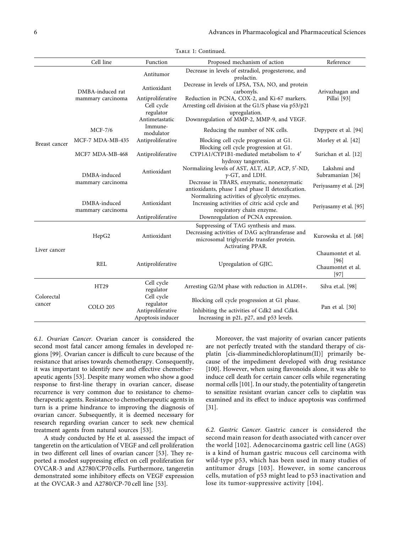|                      | Cell line                             | Function                                                       | Proposed mechanism of action                                                                                                                                        | Reference                                                |
|----------------------|---------------------------------------|----------------------------------------------------------------|---------------------------------------------------------------------------------------------------------------------------------------------------------------------|----------------------------------------------------------|
| Breast cancer        | DMBA-induced rat<br>mammary carcinoma | Antitumor<br>Antioxidant                                       | Decrease in levels of estradiol, progesterone, and<br>prolactin.<br>Decrease in levels of LPSA, TSA, NO, and protein<br>carbonyls.                                  | Arivazhagan and<br>Pillai [93]                           |
|                      |                                       | Antiproliferative<br>Cell cycle<br>regulator<br>Antimetastatic | Reduction in PCNA, COX-2, and Ki-67 markers.<br>Arresting cell division at the G1/S phase via p53/p21<br>upregulation.<br>Downregulation of MMP-2, MMP-9, and VEGF. |                                                          |
|                      | $MCF-7/6$                             | Immune-<br>modulator                                           | Reducing the number of NK cells.                                                                                                                                    | Depypere et al. [94]                                     |
|                      | MCF-7 MDA-MB-435                      | Antiproliferative                                              | Blocking cell cycle progression at G1.<br>Blocking cell cycle progression at G1.                                                                                    | Morley et al. [42]                                       |
|                      | MCF7 MDA-MB-468                       | Antiproliferative                                              | CYP1A1/CYP1B1-mediated metabolism to 4'<br>hydroxy tangeretin.                                                                                                      | Surichan et al. [12]                                     |
|                      | DMBA-induced                          | Antioxidant                                                    | Normalizing levels of AST, ALT, ALP, ACP, 5'-ND,<br>$\gamma$ -GT, and LDH.                                                                                          | Lakshmi and<br>Subramanian [36]                          |
|                      | mammary carcinoma                     |                                                                | Decrease in TBARS, enzymatic, nonenzymatic<br>antioxidants, phase I and phase II detoxification.                                                                    | Periyasamy et al. [29]                                   |
|                      | DMBA-induced<br>mammary carcinoma     | Antioxidant<br>Antiproliferative                               | Normalizing activities of glycolytic enzymes.<br>Increasing activities of citric acid cycle and<br>respiratory chain enzyme.<br>Downregulation of PCNA expression.  | Periyasamy et al. [95]                                   |
| Liver cancer         | HepG2                                 | Antioxidant                                                    | Suppressing of TAG synthesis and mass.<br>Decreasing activities of DAG acyltransferase and<br>microsomal triglyceride transfer protein.<br>Activating PPAR.         | Kurowska et al. [68]                                     |
|                      | <b>REL</b>                            | Antiproliferative                                              | Upregulation of GJIC.                                                                                                                                               | Chaumontet et al.<br>[96]<br>Chaumontet et al.<br>$[97]$ |
| Colorectal<br>cancer | <b>HT29</b>                           | Cell cycle<br>regulator                                        | Arresting G2/M phase with reduction in ALDH+.                                                                                                                       | Silva et.al. [98]                                        |
|                      | <b>COLO 205</b>                       | Cell cycle<br>regulator<br>Antiproliferative                   | Blocking cell cycle progression at G1 phase.<br>Inhibiting the activities of Cdk2 and Cdk4.                                                                         | Pan et al. [30]                                          |
|                      |                                       | Apoptosis inducer                                              | Increasing in p21, p27, and p53 levels.                                                                                                                             |                                                          |

Table 1: Continued.

6.1. Ovarian Cancer. Ovarian cancer is considered the second most fatal cancer among females in developed regions[[99](#page-13-0)]. Ovarian cancer is difficult to cure because of the resistance that arises towards chemotherapy. Consequently, it was important to identify new and effective chemotherapeutic agents[[53](#page-12-0)]. Despite many women who show a good response to first-line therapy in ovarian cancer, disease recurrence is very common due to resistance to chemotherapeutic agents. Resistance to chemotherapeutic agents in turn is a prime hindrance to improving the diagnosis of ovarian cancer. Subsequently, it is deemed necessary for research regarding ovarian cancer to seek new chemical treatment agents from natural sources [\[53\]](#page-12-0).

A study conducted by He et al. assessed the impact of tangeretin on the articulation of VEGF and cell proliferation in two different cell lines of ovarian cancer [\[53](#page-12-0)]. They reported a modest suppressing effect on cell proliferation for OVCAR-3 and A2780/CP70 cells. Furthermore, tangeretin demonstrated some inhibitory effects on VEGF expression at the OVCAR-3 and A2780/CP-70 cell line[[53](#page-12-0)].

Moreover, the vast majority of ovarian cancer patients are not perfectly treated with the standard therapy of cisplatin [cis-diamminedichloroplatinum(II)] primarily because of the impediment developed with drug resistance [\[100](#page-13-0)]. However, when using flavonoids alone, it was able to induce cell death for certain cancer cells while regenerating normal cells[[101\]](#page-13-0). In our study, the potentiality of tangeretin to sensitize resistant ovarian cancer cells to cisplatin was examined and its effect to induce apoptosis was confirmed [\[31](#page-11-0)].

6.2. Gastric Cancer. Gastric cancer is considered the second main reason for death associated with cancer over the world[[102\]](#page-13-0). Adenocarcinoma gastric cell line (AGS) is a kind of human gastric mucous cell carcinoma with wild-type p53, which has been used in many studies of antitumor drugs [\[103](#page-13-0)]. However, in some cancerous cells, mutation of p53 might lead to p53 inactivation and lose its tumor-suppressive activity[[104](#page-13-0)].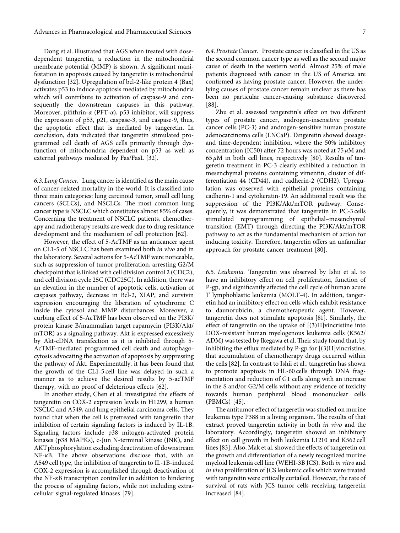Dong et al. illustrated that AGS when treated with dosedependent tangeretin, a reduction in the mitochondrial membrane potential (MMP) is shown. A significant manifestation in apoptosis caused by tangeretin is mitochondrial dysfunction[[32](#page-11-0)]. Upregulation of bcl-2-like protein 4 (Bax) activates p53 to induce apoptosis mediated by mitochondria which will contribute to activation of caspase-9 and consequently the downstream caspases in this pathway. Moreover, pifithrin- $\alpha$  (PFT- $\alpha$ ), p53 inhibitor, will suppress the expression of p53, p21, caspase-3, and caspase-9, thus, the apoptotic effect that is mediated by tangeretin. In conclusion, data indicated that tangeretin stimulated programmed cell death of AGS cells primarily through dysfunction of mitochondria dependent on p53 as well as external pathways mediated by Fas/FasL[[32](#page-11-0)].

6.3. Lung Cancer. Lung cancer is identified as the main cause of cancer-related mortality in the world. It is classified into three main categories: lung carcinoid tumor, small cell lung cancers (SCLCs), and NSCLCs. The most common lung cancer type is NSCLC which constitutes almost 85% of cases. Concerning the treatment of NSCLC patients, chemotherapy and radiotherapy results are weak due to drug resistance development and the mechanism of cell protection[[62](#page-12-0)].

However, the effect of 5-AcTMF as an anticancer agent on CL1-5 of NSCLC has been examined both in vivo and in the laboratory. Several actions for 5-AcTMF were noticeable, such as suppression of tumor proliferation, arresting G2/M checkpoint that is linked with cell division control 2 (CDC2), and cell division cycle 25C (CDC25C). In addition, there was an elevation in the number of apoptotic cells, activation of caspases pathway, decrease in Bcl-2, XIAP, and survivin expression encouraging the liberation of cytochrome C inside the cytosol and MMP disturbances. Moreover, a curbing effect of 5-AcTMF has been observed on the PI3K/ protein kinase B/mammalian target rapamycin (PI3K/Akt/ mTOR) as a signaling pathway. Akt is expressed excessively by Akt-cDNA transfection as it is inhibited through 5- AcTMF-mediated programmed cell death and autophagocytosis advocating the activation of apoptosis by suppressing the pathway of Akt. Experimentally, it has been found that the growth of the CL1-5 cell line was delayed in such a manner as to achieve the desired results by 5-acTMF therapy, with no proof of deleterious effects[[62](#page-12-0)].

In another study, Chen et al. investigated the effects of tangeretin on COX-2 expression levels in H1299, a human NSCLC and A549, and lung epithelial carcinoma cells. They found that when the cell is pretreated with tangeretin that inhibition of certain signaling factors is induced by IL-1B. Signaling factors include p38 mitogen-activated protein kinases (p38 MAPKs), c-Jun N-terminal kinase (JNK), and AKT phosphorylation excluding deactivation of downstream  $NF-\kappa B$ . The above observations disclose that, with an A549 cell type, the inhibition of tangeretin to IL-1B-induced COX-2 expression is accomplished through deactivation of the NF-κB transcription controller in addition to hindering the process of signaling factors, while not including extracellular signal-regulated kinases[[79](#page-12-0)].

6.4. Prostate Cancer. Prostate cancer is classified in the US as the second common cancer type as well as the second major cause of death in the western world. Almost 25% of male patients diagnosed with cancer in the US of America are confirmed as having prostate cancer. However, the underlying causes of prostate cancer remain unclear as there has been no particular cancer-causing substance discovered [\[88\]](#page-13-0).

Zhu et al. assessed tangeretin's effect on two different types of prostate cancer, androgen-insensitive prostate cancer cells (PC-3) and androgen-sensitive human prostate adenocarcinoma cells (LNCaP). Tangeretin showed dosageand time-dependent inhibition, where the 50% inhibitory concentration (IC50) after 72 hours was noted at 75  $\mu$ M and  $65 \mu$  $65 \mu$  $65 \mu$ M in both cell lines, respectively [[80\]](#page-12-0). Results of tangeretin treatment in PC-3 clearly exhibited a reduction in mesenchymal proteins containing vimentin, cluster of differentiation 44 (CD44), and cadherin-2 (CDH2). Upregulation was observed with epithelial proteins containing cadherin-1 and cytokeratin-19. An additional result was the suppression of the PI3K/Akt/mTOR pathway. Consequently, it was demonstrated that tangeretin in PC-3 cells stimulated reprogramming of epithelial–mesenchymal transition (EMT) through directing the PI3K/Akt/mTOR pathway to act as the fundamental mechanism of action for inducing toxicity. Therefore, tangeretin offers an unfamiliar approach for prostate cancer treatment [\[80\]](#page-12-0).

6.5. Leukemia. Tangeretin was observed by Ishii et al. to have an inhibitory effect on cell proliferation, function of P-gp, and significantly affected the cell cycle of human acute T lymphoblastic leukemia (MOLT-4). In addition, tangeretin had an inhibitory effect on cells which exhibit resistance to daunorubicin, a chemotherapeutic agent. However, tangeretin does not stimulate apoptosis[[81\]](#page-13-0). Similarly, the effect of tangeretin on the uptake of [(3)H]vincristine into DOX-resistant human myelogenous leukemia cells (K562/ ADM) was tested by Ikegawa et al. Their study found that, by inhibiting the efflux mediated by P-gp for [(3)H]vincristine, that accumulation of chemotherapy drugs occurred within the cells[[82](#page-13-0)]. In contrast to Ishii et al., tangeretin has shown to promote apoptosis in HL-60 cells through DNA fragmentation and reduction of G1 cells along with an increase in the S and/or G2/M cells without any evidence of toxicity towards human peripheral blood mononuclear cells (PBMCs) [\[45\]](#page-11-0).

The antitumor effect of tangeretin was studied on murine leukemia type P388 in a living organism. The results of that extract proved tangeretin activity in both in vivo and the laboratory. Accordingly, tangeretin showed an inhibitory effect on cell growth in both leukemia L1210 and K562 cell lines[[83](#page-13-0)]. Also, Mak et al. showed the effects of tangeretin on the growth and differentiation of a newly recognized murine myeloid leukemia cell line (WEHI-3B JCS). Both in vitro and in vivo proliferation of JCS leukemic cells which were treated with tangeretin were critically curtailed. However, the rate of survival of rats with JCS tumor cells receiving tangeretin increased[[84](#page-13-0)].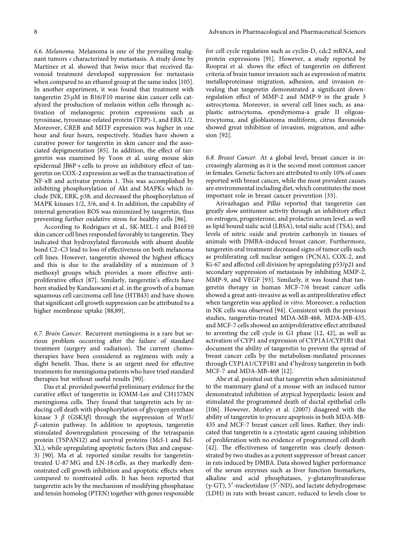6.6. Melanoma. Melanoma is one of the prevailing malignant tumors s characterized by metastasis. A study done by Martínez et al. showed that Swiss mice that received flavonoid treatment developed suppression for metastasis when compared to an ethanol group at the same index[[105](#page-13-0)]. In another experiment, it was found that treatment with tangeretin  $25 \mu M$  in B16/F10 murine skin cancer cells catalyzed the production of melanin within cells through activation of melanogenic protein expressions such as tyrosinase, tyrosinase-related protein (TRP)-1, and ERK 1/2. Moreover, CREB and MITF expression was higher in one hour and four hours, respectively. Studies have shown a curative power for tangeretin in skin cancer and the associated depigmentation [\[85\]](#page-13-0). In addition, the effect of tangeretin was examined by Yoon et al. using mouse skin epidermal JB6P + cells to prove an inhibitory effect of tangeretin on COX-2 expression as well as the transactivation of  $NF-\kappa B$  and activator protein 1. This was accomplished by inhibiting phosphorylation of Akt and MAPKs which include JNK, ERK, p38, and decreased the phosphorylation of MAPK kinases 1/2, 3/6, and 4. In addition, the capability of internal generation ROS was minimized by tangeretin, thus preventing further oxidative stress for healthy cells[[86\]](#page-13-0).

According to Rodriguez et al., SK-MEL-1 and B16F10 skin cancer cell lines responded favorably to tangeretin. They indicated that hydroxylated flavonoids with absent double bond C2–C3 lead to loss of effectiveness on both melanoma cell lines. However, tangeretin showed the highest efficacy and this is due to the availability of a minimum of 3 methoxyl groups which provides a more effective antiproliferative effect [\[87\]](#page-13-0). Similarly, tangeretin's effects have been studied by Kandaswami et al. in the growth of a human squamous cell carcinoma cell line (HTB43) and have shown that significant cell growth suppression can be attributed to a higher membrane uptake[[88](#page-13-0),[89](#page-13-0)].

6.7. Brain Cancer. Recurrent meningioma is a rare but serious problem occurring after the failure of standard treatment (surgery and radiation). The current chemotherapies have been considered as regimens with only a slight benefit. Thus, there is an urgent need for effective treatments for meningioma patients who have tried standard therapies but without useful results [\[90\]](#page-13-0).

Das et al. provided powerful preliminary evidence for the curative effect of tangeretin in IOMM-Lee and CH157MN meningioma cells. They found that tangeretin acts by inducing cell death with phosphorylation of glycogen synthase kinase 3 β (GSK3β) through the suppression of Wnt5/ β-catenin pathway. In addition to apoptosis, tangeretin stimulated downregulation processing of the tetraspanin protein (TSPAN12) and survival proteins (Mcl-1 and Bcl-XL), while upregulating apoptotic factors (Bax and caspase-3)[[90\]](#page-13-0). Ma et al. reported similar results for tangeretintreated U-87 MG and LN-18 cells, as they markedly demonstrated cell growth inhibition and apoptotic effects when compared to nontreated cells. It has been reported that tangeretin acts by the mechanism of modifying phosphatase and tensin homolog (PTEN) together with genes responsible for cell cycle regulation such as cyclin-D, cdc2 mRNA, and protein expressions[[91\]](#page-13-0). However, a study reported by Rooprai et al. shows the effect of tangeretin on different criteria of brain tumor invasion such as expression of matrix metalloproteinase migration, adhesion, and invasion revealing that tangeretin demonstrated a significant downregulation effect of MMP-2 and MMP-9 in the grade 3 astrocytoma. Moreover, in several cell lines such, as anaplastic astrocytoma, ependymoma-a grade II oligoastrocytoma, and glioblastoma multiform, citrus flavonoids showed great inhibition of invasion, migration, and adhesion[[92](#page-13-0)].

6.8. Breast Cancer. At a global level, breast cancer is increasingly alarming as it is the second most common cancer in females. Genetic factors are attributed to only 10% of cases reported with breast cancer, while the most prevalent causes are environmental including diet, which constitutes the most important role in breast cancer prevention[[33](#page-11-0)].

Arivazhagan and Pillai reported that tangeretin can greatly slow antitumor activity through an inhibitory effect on estrogen, progesterone, and prolactin serum level, as well as lipid bound sialic acid (LBSA), total sialic acid (TSA), and levels of nitric oxide and protein carbonyls in tissues of animals with DMBA-induced breast cancer. Furthermore, tangeretin oral treatment decreased signs of tumor cells such as proliferating cell nuclear antigen (PCNA), COX-2, and Ki-67 and affected cell division by upregulating p53/p21 and secondary suppression of metastasis by inhibiting MMP-2, MMP-9, and VEGF [\[93\]](#page-13-0). Similarly, it was found that tangeretin therapy in human MCF-7/6 breast cancer cells showed a great anti-invasive as well as antiproliferative effect when tangeretin was applied in vitro. Moreover, a reduction in NK cells was observed[[94](#page-13-0)]. Consistent with the previous studies, tangeretin-treated MDA-MB-468, MDA-MB-435, and MCF-7 cells showed an antiproliferative effect attributed to arresting the cell cycle in G1 phase [\[12](#page-10-0), [42\]](#page-11-0), as well as activation of CYP1 and expression of CYP1A1/CYP1B1 that document the ability of tangeretin to prevent the spread of breast cancer cells by the metabolism-mediated processes through CYP1A1/CYP1B1 and 4′hydroxy tangeretin in both MCF-7 and MDA-MB-468[[12\]](#page-10-0).

Abe et al. pointed out that tangeretin when administered to the mammary gland of a mouse with an induced tumor demonstrated inhibition of atypical hyperplastic lesion and stimulated the programmed death of ductal epithelial cells [\[106](#page-13-0)]. However, Morley et al. (2007) disagreed with the ability of tangeretin to procure apoptosis in both MDA-MB-435 and MCF-7 breast cancer cell lines. Rather, they indicated that tangeretin is a cytostatic agent causing inhibition of proliferation with no evidence of programmed cell death [\[42\]](#page-11-0). The effectiveness of tangeretin was clearly demonstrated by two studies as a potent suppressor of breast cancer in rats induced by DMBA. Data showed higher performance of the serum enzymes such as liver function biomarkers, alkaline and acid phosphatases, *y*-glutamyltransferase  $(\gamma$ -GT), 5<sup>'</sup>-nucleotidase (5<sup>'</sup>-ND), and lactate dehydrogenase (LDH) in rats with breast cancer, reduced to levels close to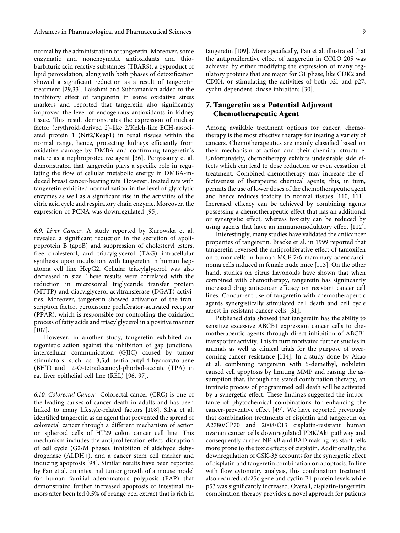normal by the administration of tangeretin. Moreover, some enzymatic and nonenzymatic antioxidants and thiobarbituric acid reactive substances (TBARS), a byproduct of lipid peroxidation, along with both phases of detoxification showed a significant reduction as a result of tangeretin treatment[[29](#page-11-0),[33](#page-11-0)]. Lakshmi and Subramanian added to the inhibitory effect of tangeretin in some oxidative stress markers and reported that tangeretin also significantly improved the level of endogenous antioxidants in kidney tissue. This result demonstrates the expression of nuclear factor (erythroid-derived 2)-like 2/Kelch-like ECH-associated protein 1 (Nrf2/Keap1) in renal tissues within the normal range, hence, protecting kidneys efficiently from oxidative damage by DMBA and confirming tangeretin's nature as a nephroprotective agent [\[36\]](#page-11-0). Periyasamy et al. demonstrated that tangeretin plays a specific role in regulating the flow of cellular metabolic energy in DMBA-induced breast cancer-bearing rats. However, treated rats with tangeretin exhibited normalization in the level of glycolytic enzymes as well as a significant rise in the activities of the citric acid cycle and respiratory chain enzyme. Moreover, the expression of PCNA was downregulated[[95](#page-13-0)].

6.9. Liver Cancer. A study reported by Kurowska et al. revealed a significant reduction in the secretion of apolipoprotein B (apoB) and suppression of cholesteryl esters, free cholesterol, and triacylglycerol (TAG) intracellular synthesis upon incubation with tangeretin in human hepatoma cell line HepG2. Cellular triacylglycerol was also decreased in size. These results were correlated with the reduction in microsomal triglyceride transfer protein (MTTP) and diacylglycerol acyltransferase (DGAT) activities. Moreover, tangeretin showed activation of the transcription factor, peroxisome proliferator-activated receptor (PPAR), which is responsible for controlling the oxidation process of fatty acids and triacylglycerol in a positive manner [\[107](#page-13-0)].

However, in another study, tangeretin exhibited antagonistic action against the inhibition of gap junctional intercellular communication (GJIC) caused by tumor stimulators such as 3,5,di-tertio-butyl-4-hydroxytoluene (BHT) and 12-O-tetradecanoyl-phorbol-acetate (TPA) in rat liver epithelial cell line (REL) [\[96](#page-13-0), [97](#page-13-0)].

6.10. Colorectal Cancer. Colorectal cancer (CRC) is one of the leading causes of cancer death in adults and has been linked to many lifestyle-related factors [\[108\]](#page-13-0). Silva et al. identified tangeretin as an agent that prevented the spread of colorectal cancer through a different mechanism of action on spheroid cells of HT29 colon cancer cell line. This mechanism includes the antiproliferation effect, disruption of cell cycle (G2/M phase), inhibition of aldehyde dehydrogenase (ALDH+), and a cancer stem cell marker and inducing apoptosis[[98\]](#page-13-0). Similar results have been reported by Fan et al. on intestinal tumor growth of a mouse model for human familial adenomatous polyposis (FAP) that demonstrated further increased apoptosis of intestinal tumors after been fed 0.5% of orange peel extract that is rich in

tangeretin[[109\]](#page-14-0). More specifically, Pan et al. illustrated that the antiproliferative effect of tangeretin in COLO 205 was achieved by either modifying the expression of many regulatory proteins that are major for G1 phase, like CDK2 and CDK4, or stimulating the activities of both p21 and p27, cyclin-dependent kinase inhibitors[[30](#page-11-0)].

## 7. Tangeretin as a Potential Adjuvant Chemotherapeutic Agent

Among available treatment options for cancer, chemotherapy is the most effective therapy for treating a variety of cancers. Chemotherapeutics are mainly classified based on their mechanism of action and their chemical structure. Unfortunately, chemotherapy exhibits undesirable side effects which can lead to dose reduction or even cessation of treatment. Combined chemotherapy may increase the effectiveness of therapeutic chemical agents; this, in turn, permits the use of lower doses of the chemotherapeutic agent and hence reduces toxicity to normal tissues [\[110](#page-14-0), [111](#page-14-0)]. Increased efficacy can be achieved by combining agents possessing a chemotherapeutic effect that has an additional or synergistic effect, whereas toxicity can be reduced by using agents that have an immunomodulatory effect[[112](#page-14-0)].

Interestingly, many studies have validated the anticancer properties of tangeretin. Bracke et al. in 1999 reported that tangeretin reversed the antiproliferative effect of tamoxifen on tumor cells in human MCF-7/6 mammary adenocarcinoma cells induced in female nude mice[[113](#page-14-0)]. On the other hand, studies on citrus flavonoids have shown that when combined with chemotherapy, tangeretin has significantly increased drug anticancer efficacy on resistant cancer cell lines. Concurrent use of tangeretin with chemotherapeutic agents synergistically stimulated cell death and cell cycle arrest in resistant cancer cells[[31](#page-11-0)].

Published data showed that tangeretin has the ability to sensitize excessive ABCB1 expression cancer cells to chemotherapeutic agents through direct inhibition of ABCB1 transporter activity. This in turn motivated further studies in animals as well as clinical trials for the purpose of overcoming cancer resistance[[114\]](#page-14-0). In a study done by Akao et al. combining tangeretin with 5-demethyl, nobiletin caused cell apoptosis by limiting MMP and raising the assumption that, through the stated combination therapy, an intrinsic process of programmed cell death will be activated by a synergetic effect. These findings suggested the importance of phytochemical combinations for enhancing the cancer-preventive effect [\[49\]](#page-11-0). We have reported previously that combination treatments of cisplatin and tangeretin on A2780/CP70 and 2008/C13 cisplatin-resistant human ovarian cancer cells downregulated PI3K/Akt pathway and consequently curbed NF-κB and BAD making resistant cells more prone to the toxic effects of cisplatin. Additionally, the downregulation of GSK-3 $\beta$  accounts for the synergetic effect of cisplatin and tangeretin combination on apoptosis. In line with flow cytometry analysis, this combination treatment also reduced cdc25c gene and cyclin B1 protein levels while p53 was significantly increased. Overall, cisplatin-tangeretin combination therapy provides a novel approach for patients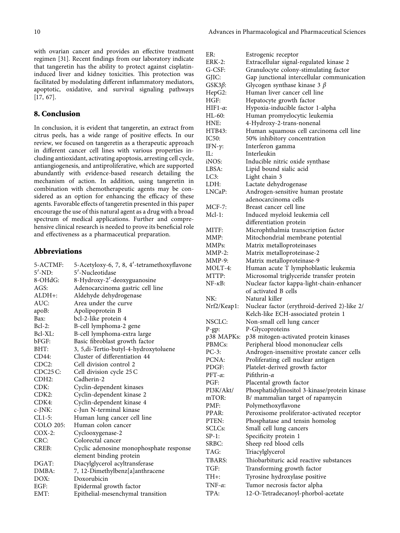with ovarian cancer and provides an effective treatment regimen[[31\]](#page-11-0). Recent findings from our laboratory indicate that tangeretin has the ability to protect against cisplatininduced liver and kidney toxicities. This protection was facilitated by modulating different inflammatory mediators, apoptotic, oxidative, and survival signaling pathways [\[17](#page-10-0), [67\]](#page-12-0).

## 8. Conclusion

In conclusion, it is evident that tangeretin, an extract from citrus peels, has a wide range of positive effects. In our review, we focused on tangeretin as a therapeutic approach in different cancer cell lines with various properties including antioxidant, activating apoptosis, arresting cell cycle, antiangiogenesis, and antiproliferative, which are supported abundantly with evidence-based research detailing the mechanism of action. In addition, using tangeretin in combination with chemotherapeutic agents may be considered as an option for enhancing the efficacy of these agents. Favorable effects of tangeretin presented in this paper encourage the use of this natural agent as a drug with a broad spectrum of medical applications. Further and comprehensive clinical research is needed to prove its beneficial role and effectiveness as a pharmaceutical preparation.

## Abbreviations

| 5-ACTMF:           | 5-Acetyloxy-6, 7, 8, 4'-tetramethoxyflavone |
|--------------------|---------------------------------------------|
| $5'$ -ND:          | 5'-Nucleotidase                             |
| 8-OHdG:            | 8-Hydroxy-2'-deoxyguanosine                 |
| AGS:               | Adenocarcinoma gastric cell line            |
| ALDH+:             | Aldehyde dehydrogenase                      |
| AUC:               | Area under the curve                        |
| apoB:              | Apolipoprotein B                            |
| Bax:               | bcl-2-like protein 4                        |
| $Bcl-2$ :          | B-cell lymphoma-2 gene                      |
| Bcl-XL:            | B-cell lymphoma-extra large                 |
| bFGF:              | Basic fibroblast growth factor              |
| BHT:               | 3, 5,di-Tertio-butyl-4-hydroxytoluene       |
| CD44:              | Cluster of differentiation 44               |
| CDC2:              | Cell division control 2                     |
| CDC25C             | Cell division cycle 25 C                    |
| CDH <sub>2</sub> : | Cadherin-2                                  |
| CDK:               | Cyclin-dependent kinases                    |
| CDK2:              | Cyclin-dependent kinase 2                   |
| CDK4:              | Cyclin-dependent kinase 4                   |
| $c$ -J $NK$ :      | c-Jun N-terminal kinase                     |
| $CL1-5$ :          | Human lung cancer cell line                 |
| <b>COLO 205:</b>   | Human colon cancer                          |
| $COX-2$ :          | Cyclooxygenase-2                            |
| CRC:               | Colorectal cancer                           |
| CREB:              | Cyclic adenosine monophosphate response     |
|                    | element binding protein                     |
| DGAT:              | Diacylglycerol acyltransferase              |
| DMBA:              | 7, 12-Dimethylbenz[a]anthracene             |
| DOX:               | Doxorubicin                                 |
| EGF:               | Epidermal growth factor                     |
| EMT:               | Epithelial-mesenchymal transition           |

| ER:              | Estrogenic receptor                          |
|------------------|----------------------------------------------|
| <b>ERK-2:</b>    | Extracellular signal-regulated kinase 2      |
| G-CSF:           | Granulocyte colony-stimulating factor        |
| GJIC:            | Gap junctional intercellular communication   |
| $GSK3\beta$ :    | Glycogen synthase kinase 3 $\beta$           |
| HepG2:           | Human liver cancer cell line                 |
| HGF:             | Hepatocyte growth factor                     |
| HIF1- $\alpha$ : | Hypoxia-inducible factor 1-alpha             |
| HL-60:           | Human promyelocytic leukemia                 |
| HNE:             | 4-Hydroxy-2-trans-nonenal                    |
| HTB43:           | Human squamous cell carcinoma cell line      |
| IC50:            | 50% inhibitory concentration                 |
| IFN- $\gamma$ :  | Interferon gamma                             |
| IL:              | Interleukin                                  |
| iNOS:            | Inducible nitric oxide synthase              |
| LBSA:            | Lipid bound sialic acid                      |
|                  | Light chain 3                                |
| LC3:             |                                              |
| LDH:             | Lactate dehydrogenase                        |
| LNCaP:           | Androgen-sensitive human prostate            |
|                  | adenocarcinoma cells                         |
| $MCF-7:$         | Breast cancer cell line                      |
| Mcl-1:           | Induced myeloid leukemia cell                |
|                  | differentiation protein                      |
| MITF:            | Microphthalmia transcription factor          |
| MMP:             | Mitochondrial membrane potential             |
| MMPs:            | Matrix metalloproteinases                    |
| $MMP-2$ :        | Matrix metalloproteinase-2                   |
| $MMP-9:$         | Matrix metalloproteinase-9                   |
| MOLT-4:          | Human acute T lymphoblastic leukemia         |
| MTTP:            | Microsomal triglyceride transfer protein     |
| $NF-\kappa B:$   | Nuclear factor kappa-light-chain-enhancer    |
|                  | of activated B cells                         |
| NK:              | Natural killer                               |
| Nrf2/Keap1:      | Nuclear factor (erythroid-derived 2)-like 2/ |
|                  | Kelch-like ECH-associated protein 1          |
| NSCLC:           | Non-small cell lung cancer                   |
| $P$ -gp:         | P-Glycoproteins                              |
| p38 MAPKs:       | p38 mitogen-activated protein kinases        |
| PBMCs:           | Peripheral blood mononuclear cells           |
| $PC-3$ :         | Androgen-insensitive prostate cancer cells   |
| PCNA:            | Proliferating cell nuclear antigen           |
| PDGF:            | Platelet-derived growth factor               |
| $PFT-\alpha$ :   | Pifithrin- $\alpha$                          |
| PGF:             | Placental growth factor                      |
| PI3K/Akt/        | Phosphatidylinositol 3-kinase/protein kinase |
| mTOR:            | B/ mammalian target of rapamycin             |
| PMF:             | Polymethoxyflavone                           |
| PPAR:            | Peroxisome proliferator-activated receptor   |
| PTEN:            | Phosphatase and tensin homolog               |
| SCLCs:           | Small cell lung cancers                      |
| $SP-1$ :         | Specificity protein 1                        |
| SRBC:            | Sheep red blood cells                        |
| TAG:             | Triacylglycerol                              |
| TBARS:           | Thiobarbituric acid reactive substances      |
| TGF:             | Transforming growth factor                   |
| TH+:             | Tyrosine hydroxylase positive                |
| TNF- $\alpha$ :  | Tumor necrosis factor alpha                  |
|                  |                                              |
| TPA:             | 12-O-Tetradecanoyl-phorbol-acetate           |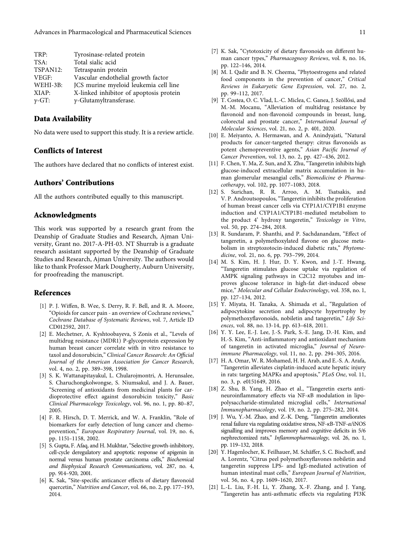<span id="page-10-0"></span>

| Tyrosinase-related protein              |
|-----------------------------------------|
| Total sialic acid                       |
| Tetraspanin protein                     |
| Vascular endothelial growth factor      |
| JCS murine myeloid leukemia cell line   |
| X-linked inhibitor of apoptosis protein |
| $\gamma$ -Glutamyltransferase.          |
|                                         |

## Data Availability

No data were used to support this study. It is a review article.

## Conflicts of Interest

The authors have declared that no conflicts of interest exist.

#### Authors' Contributions

All the authors contributed equally to this manuscript.

#### Acknowledgments

This work was supported by a research grant from the Deanship of Graduate Studies and Research, Ajman University, Grant no. 2017-A-PH-03. NT Shurrab is a graduate research assistant supported by the Deanship of Graduate Studies and Research, Ajman University. The authors would like to thank Professor Mark Dougherty, Auburn University, for proofreading the manuscript.

## References

- [1] P. J. Wiffen, B. Wee, S. Derry, R. F. Bell, and R. A. Moore, "Opioids for cancer pain - an overview of Cochrane reviews," Cochrane Database of Systematic Reviews, vol. 7, Article ID CD012592, 2017.
- [2] E. Mechetner, A. Kyshtoobayeva, S Zonis et al., "Levels of multidrug resistance (MDR1) P-glycoprotein expression by human breast cancer correlate with in vitro resistance to taxol and doxorubicin," Clinical Cancer Research: An Official Journal of the American Association for Cancer Research, vol. 4, no. 2, pp. 389–398, 1998.
- [3] S. K. Wattanapitayakul, L. Chularojmontri, A. Herunsalee, S. Charuchongkolwongse, S. Niumsakul, and J. A. Bauer, "Screening of antioxidants from medicinal plants for cardioprotective effect against doxorubicin toxicity," Basic Clinical Pharmacology Toxicology, vol. 96, no. 1, pp. 80–87, 2005.
- [4] F. R. Hirsch, D. T. Merrick, and W. A. Franklin, "Role of biomarkers for early detection of lung cancer and chemoprevention," European Respiratory Journal, vol. 19, no. 6, pp. 1151–1158, 2002.
- [5] S. Gupta, F. Afaq, and H. Mukhtar, "Selective growth-inhibitory, cell-cycle deregulatory and apoptotic response of apigenin in normal versus human prostate carcinoma cells," Biochemical and Biophysical Research Communications, vol. 287, no. 4, pp. 914–920, 2001.
- [6] K. Sak, "Site-specific anticancer effects of dietary flavonoid quercetin," Nutrition and Cancer, vol. 66, no. 2, pp. 177–193, 2014.
- [7] K. Sak, "Cytotoxicity of dietary flavonoids on different human cancer types," Pharmacognosy Reviews, vol. 8, no. 16, pp. 122–146, 2014.
- [8] M. I. Qadir and B. N. Cheema, "Phytoestrogens and related food components in the prevention of cancer," Critical Reviews in Eukaryotic Gene Expression, vol. 27, no. 2, pp. 99–112, 2017.
- [9] T. Costea, O. C. Vlad, L.-C. Miclea, C. Ganea, J. Szöllősi, and M.-M. Mocanu, "Alleviation of multidrug resistance by flavonoid and non-flavonoid compounds in breast, lung, colorectal and prostate cancer," International Journal of Molecular Sciences, vol. 21, no. 2, p. 401, 2020.
- [10] E. Meiyanto, A. Hermawan, and A. Anindyajati, "Natural products for cancer-targeted therapy: citrus flavonoids as potent chemopreventive agents," Asian Pacific Journal of Cancer Prevention, vol. 13, no. 2, pp. 427–436, 2012.
- [11] F. Chen, Y. Ma, Z. Sun, and X. Zhu, "Tangeretin inhibits high glucose-induced extracellular matrix accumulation in human glomerular mesangial cells," Biomedicine & Pharmacotherapy, vol. 102, pp. 1077–1083, 2018.
- [12] S. Surichan, R. R. Arroo, A. M. Tsatsakis, and V. P. Androutsopoulos, "Tangeretin inhibits the proliferation of human breast cancer cells via CYP1A1/CYP1B1 enzyme induction and CYP1A1/CYP1B1-mediated metabolism to the product 4' hydroxy tangeretin," Toxicology in Vitro, vol. 50, pp. 274–284, 2018.
- [13] R. Sundaram, P. Shanthi, and P. Sachdanandam, "Effect of tangeretin, a polymethoxylated flavone on glucose metabolism in streptozotocin-induced diabetic rats," Phytomedicine, vol. 21, no. 6, pp. 793–799, 2014.
- [14] M. S. Kim, H. J. Hur, D. Y. Kwon, and J.-T. Hwang, "Tangeretin stimulates glucose uptake via regulation of AMPK signaling pathways in C2C12 myotubes and improves glucose tolerance in high-fat diet-induced obese mice," Molecular and Cellular Endocrinology, vol. 358, no. 1, pp. 127–134, 2012.
- [15] Y. Miyata, H. Tanaka, A. Shimada et al., "Regulation of adipocytokine secretion and adipocyte hypertrophy by polymethoxyflavonoids, nobiletin and tangeretin," Life Sciences, vol. 88, no. 13-14, pp. 613–618, 2011.
- [16] Y. Y. Lee, E.-J. Lee, J.-S. Park, S.-E. Jang, D.-H. Kim, and H.-S. Kim, "Anti-inflammatory and antioxidant mechanism of tangeretin in activated microglia," Journal of Neuroimmune Pharmacology, vol. 11, no. 2, pp. 294–305, 2016.
- [17] H. A. Omar, W. R. Mohamed, H. H. Arab, and E.-S. A. Arafa, "Tangeretin alleviates cisplatin-induced acute hepatic injury in rats: targeting MAPKs and apoptosis," PLoS One, vol. 11, no. 3, p. e0151649, 2016.
- [18] Z. Shu, B. Yang, H. Zhao et al., "Tangeretin exerts antineuroinflammatory effects via NF-κB modulation in lipopolysaccharide-stimulated microglial cells," International Immunopharmacology, vol. 19, no. 2, pp. 275–282, 2014.
- [19] J. Wu, Y.-M. Zhao, and Z.-K. Deng, "Tangeretin ameliorates renal failure via regulating oxidative stress, NF-κB-TNF-α/iNOS signalling and improves memory and cognitive deficits in 5/6 nephrectomized rats," Inflammopharmacology, vol. 26, no. 1, pp. 119–132, 2018.
- [20] Y. Hagenlocher, K. Feilhauer, M. Schäffer, S. C. Bischoff, and A. Lorentz, "Citrus peel polymethoxyflavones nobiletin and tangeretin suppress LPS- and IgE-mediated activation of human intestinal mast cells," European Journal of Nutrition, vol. 56, no. 4, pp. 1609–1620, 2017.
- [21] L.-L. Liu, F.-H. Li, Y. Zhang, X.-F. Zhang, and J. Yang, "Tangeretin has anti-asthmatic effects via regulating PI3K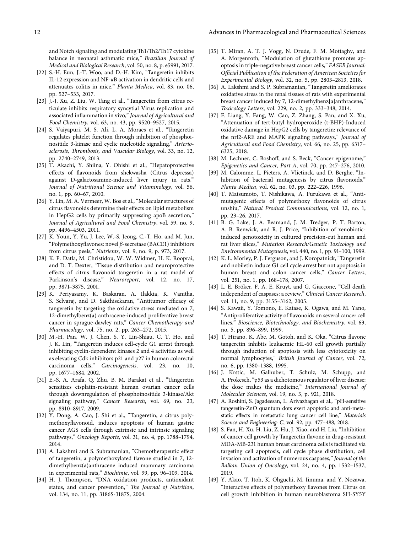<span id="page-11-0"></span>and Notch signaling and modulating Th1/Th2/Th17 cytokine balance in neonatal asthmatic mice," Brazilian Journal of Medical and Biological Research, vol. 50, no. 8, p. e5991, 2017.

- [22] S.-H. Eun, J.-T. Woo, and D.-H. Kim, "Tangeretin inhibits IL-12 expression and NF-κB activation in dendritic cells and attenuates colitis in mice," Planta Medica, vol. 83, no. 06, pp. 527–533, 2017.
- [23] J.-J. Xu, Z. Liu, W. Tang et al., "Tangeretin from citrus reticulate inhibits respiratory syncytial Virus replication and associated inflammation in vivo," Journal of Agricultural and Food Chemistry, vol. 63, no. 43, pp. 9520–9527, 2015.
- [24] S. Vaiyapuri, M. S. Ali, L. A. Moraes et al., "Tangeretin regulates platelet function through inhibition of phosphoinositide 3-kinase and cyclic nucleotide signaling," Arteriosclerosis, Thrombosis, and Vascular Biology, vol. 33, no. 12, pp. 2740–2749, 2013.
- [25] T. Akachi, Y. Shiina, Y. Ohishi et al., "Hepatoprotective effects of flavonoids from shekwasha (Citrus depressa) against D-galactosamine-induced liver injury in rats," Journal of Nutritional Science and Vitaminology, vol. 56, no. 1, pp. 60–67, 2010.
- [26] Y. Lin, M. A. Vermeer, W. Bos et al., "Molecular structures of citrus flavonoids determine their effects on lipid metabolism in HepG2 cells by primarily suppressing apoB secretion," Journal of Agricultural and Food Chemistry, vol. 59, no. 9, pp. 4496–4503, 2011.
- [27] K. Youn, Y. Yu, J. Lee, W.-S. Jeong, C.-T. Ho, and M. Jun, "Polymethoxyflavones: novel β-secretase (BACE1) inhibitors from citrus peels," Nutrients, vol. 9, no. 9, p. 973, 2017.
- [28] K. P. Datla, M. Christidou, W. W. Widmer, H. K. Rooprai, and D. T. Dexter, "Tissue distribution and neuroprotective effects of citrus flavonoid tangeretin in a rat model of Parkinson's disease," Neuroreport, vol. 12, no. 17, pp. 3871–3875, 2001.
- [29] K. Periyasamy, K. Baskaran, A. Ilakkia, K. Vanitha, S. Selvaraj, and D. Sakthisekaran, "Antitumor efficacy of tangeretin by targeting the oxidative stress mediated on 7, 12-dimethylbenz(a) anthracene-induced proliferative breast cancer in sprague-dawley rats," Cancer Chemotherapy and Pharmacology, vol. 75, no. 2, pp. 263–272, 2015.
- [30] M.-H. Pan, W. J. Chen, S. Y. Lin-Shiau, C. T. Ho, and J. K. Lin, "Tangeretin induces cell-cycle G1 arrest through inhibiting cyclin-dependent kinases 2 and 4 activities as well as elevating Cdk inhibitors p21 and p27 in human colorectal carcinoma cells," Carcinogenesis, vol. 23, no. 10, pp. 1677–1684, 2002.
- [31] E.-S. A. Arafa, Q. Zhu, B. M. Barakat et al., "Tangeretin sensitizes cisplatin-resistant human ovarian cancer cells through downregulation of phosphoinositide 3-kinase/Akt signaling pathway," Cancer Research, vol. 69, no. 23, pp. 8910–8917, 2009.
- [32] Y. Dong, A. Cao, J. Shi et al., "Tangeretin, a citrus polymethoxyflavonoid, induces apoptosis of human gastric cancer AGS cells through extrinsic and intrinsic signaling pathways," Oncology Reports, vol. 31, no. 4, pp. 1788–1794, 2014.
- [33] A. Lakshmi and S. Subramanian, "Chemotherapeutic effect of tangeretin, a polymethoxylated flavone studied in 7, 12 dimethylbenz(a)anthracene induced mammary carcinoma in experimental rats," Biochimie, vol. 99, pp. 96–109, 2014.
- [34] H. J. Thompson, "DNA oxidation products, antioxidant status, and cancer prevention," The Journal of Nutrition, vol. 134, no. 11, pp. 3186S-3187S, 2004.
- [35] T. Miran, A. T. J. Vogg, N. Drude, F. M. Mottaghy, and A. Morgenroth, "Modulation of glutathione promotes apoptosis in triple-negative breast cancer cells," FASEB Journal: Official Publication of the Federation of American Societies for Experimental Biology, vol. 32, no. 5, pp. 2803–2813, 2018.
- [36] A. Lakshmi and S. P. Subramanian, "Tangeretin ameliorates oxidative stress in the renal tissues of rats with experimental breast cancer induced by 7, 12-dimethylbenz[a]anthracene," Toxicology Letters, vol. 229, no. 2, pp. 333–348, 2014.
- [37] F. Liang, Y. Fang, W. Cao, Z. Zhang, S. Pan, and X. Xu, "Attenuation of tert-butyl hydroperoxide (t-BHP)-Induced oxidative damage in HepG2 cells by tangeretin: relevance of the nrf2-ARE and MAPK signaling pathways," Journal of Agricultural and Food Chemistry, vol. 66, no. 25, pp. 6317– 6325, 2018.
- [38] M. Lechner, C. Boshoff, and S. Beck, "Cancer epigenome," Epigenetics and Cancer, Part A, vol. 70, pp. 247–276, 2010.
- [39] M. Calomme, L. Pieters, A. Vlietinck, and D. Berghe, "Inhibition of bacterial mutagenesis by citrus flavonoids," Planta Medica, vol. 62, no. 03, pp. 222–226, 1996.
- [40] T. Matsumoto, T. Nishikawa, A. Furukawa et al., "Antimutagenic effects of polymethoxy flavonoids of citrus unshiu," Natural Product Communications, vol. 12, no. 1, pp. 23–26, 2017.
- [41] B. G. Lake, J. A. Beamand, J. M. Tredger, P. T. Barton, A. B. Renwick, and R. J. Price, "Inhibition of xenobioticinduced genotoxicity in cultured precision-cut human and rat liver slices," Mutation Research/Genetic Toxicology and Environmental Mutagenesis, vol. 440, no. 1, pp. 91–100, 1999.
- [42] K. L. Morley, P. J. Ferguson, and J. Koropatnick, "Tangeretin and nobiletin induce G1 cell cycle arrest but not apoptosis in human breast and colon cancer cells," Cancer Letters, vol. 251, no. 1, pp. 168–178, 2007.
- [43] L. E. Bröker, F. A. E. Kruyt, and G. Giaccone, "Cell death independent of caspases: a review," Clinical Cancer Research, vol. 11, no. 9, pp. 3155–3162, 2005.
- [44] S. Kawaii, Y. Tomono, E. Katase, K. Ogawa, and M. Yano, "Antiproliferative activity of flavonoids on several cancer cell lines," Bioscience, Biotechnology, and Biochemistry, vol. 63, no. 5, pp. 896–899, 1999.
- [45] T. Hirano, K. Abe, M. Gotoh, and K. Oka, "Citrus flavone tangeretin inhibits leukaemic HL-60 cell growth partially through induction of apoptosis with less cytotoxicity on normal lymphocytes," British Journal of Cancer, vol. 72, no. 6, pp. 1380–1388, 1995.
- [46] J. Krstic, M. Galhuber, T. Schulz, M. Schupp, and A. Prokesch, "p53 as a dichotomous regulator of liver disease: the dose makes the medicine," International Journal of Molecular Sciences, vol. 19, no. 3, p. 921, 2018.
- [47] A. Roshini, S. Jagadeesan, L. Arivazhagan et al., "pH-sensitive tangeretin-ZnO quantum dots exert apoptotic and anti-metastatic effects in metastatic lung cancer cell line," Materials Science and Engineering: C, vol. 92, pp. 477–488, 2018.
- [48] S. Fan, H. Xu, H. Liu, Z. Hu, J. Xiao, and H. Liu, "Inhibition of cancer cell growth by Tangeretin flavone in drug-resistant MDA-MB-231 human breast carcinoma cells is facilitated via targeting cell apoptosis, cell cycle phase distribution, cell invasion and activation of numerous caspases," Journal of the Balkan Union of Oncology, vol. 24, no. 4, pp. 1532–1537, 2019.
- [49] Y. Akao, T. Itoh, K. Ohguchi, M. Iinuma, and Y. Nozawa, "Interactive effects of polymethoxy flavones from Citrus on cell growth inhibition in human neuroblastoma SH-SY5Y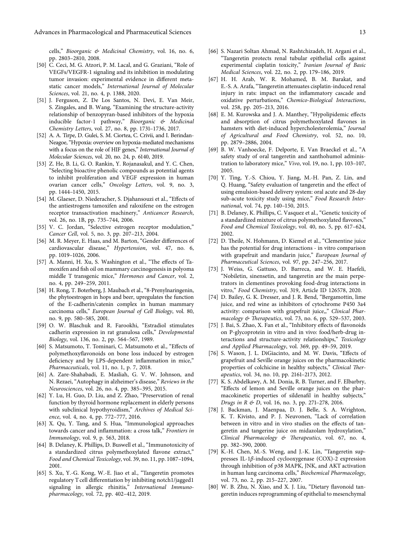<span id="page-12-0"></span>cells," Bioorganic & Medicinal Chemistry, vol. 16, no. 6, pp. 2803–2810, 2008.

- [50] C. Ceci, M. G. Atzori, P. M. Lacal, and G. Graziani, "Role of VEGFs/VEGFR-1 signaling and its inhibition in modulating tumor invasion: experimental evidence in different metastatic cancer models," International Journal of Molecular Sciences, vol. 21, no. 4, p. 1388, 2020.
- [51] J. Ferguson, Z. De Los Santos, N. Devi, E. Van Meir, S. Zingales, and B. Wang, "Examining the structure-activity relationship of benzopyran-based inhibitors of the hypoxia inducible factor-1 pathway," Bioorganic & Medicinal Chemistry Letters, vol. 27, no. 8, pp. 1731–1736, 2017.
- [52] A. A. Tirpe, D. Gulei, S. M. Ciortea, C. Crivii, and I. Berindan-Neagoe, "Hypoxia: overview on hypoxia-mediated mechanisms with a focus on the role of HIF genes," International Journal of Molecular Sciences, vol. 20, no. 24, p. 6140, 2019.
- [53] Z. He, B. Li, G. O. Rankin, Y. Rojanasakul, and Y. C. Chen, "Selecting bioactive phenolic compounds as potential agents to inhibit proliferation and VEGF expression in human ovarian cancer cells," Oncology Letters, vol. 9, no. 3, pp. 1444–1450, 2015.
- [54] M. Glaeser, D. Niederacher, S. Djahansouzi et al., "Effects of the antiestrogens tamoxifen and raloxifene on the estrogen receptor transactivation machinery," Anticancer Research, vol. 26, no. 1B, pp. 735–744, 2006.
- [55] V. C. Jordan, "Selective estrogen receptor modulation," Cancer Cell, vol. 5, no. 3, pp. 207–213, 2004.
- [56] M. R. Meyer, E. Haas, and M. Barton, "Gender differences of cardiovascular disease," Hypertension, vol. 47, no. 6, pp. 1019–1026, 2006.
- [57] A. Manni, H. Xu, S. Washington et al., "The effects of Tamoxifen and fish oil on mammary carcinogenesis in polyoma middle T transgenic mice," Hormones and Cancer, vol. 2, no. 4, pp. 249–259, 2011.
- [58] H. Rong, T. Boterberg, J. Maubach et al., "8-Prenylnaringenin, the phytoestrogen in hops and beer, upregulates the function of the E-cadherin/catenin complex in human mammary carcinoma cells," European Journal of Cell Biology, vol. 80, no. 9, pp. 580–585, 2001.
- [59] O. W. Blaschuk and R. Farookhi, "Estradiol stimulates cadherin expression in rat granulosa cells," Developmental Biology, vol. 136, no. 2, pp. 564–567, 1989.
- [60] S. Matsumoto, T. Tominari, C. Matsumoto et al., "Effects of polymethoxyflavonoids on bone loss induced by estrogen deficiency and by LPS-dependent inflammation in mice," Pharmaceuticals, vol. 11, no. 1, p. 7, 2018.
- [61] A. Zare-Shahabadi, E. Masliah, G. V. W. Johnson, and N. Rezaei, "Autophagy in alzheimer's disease," Reviews in the Neurosciences, vol. 26, no. 4, pp. 385–395, 2015.
- [62] Y. Lu, H. Guo, D. Liu, and Z. Zhao, "Preservation of renal function by thyroid hormone replacement in elderly persons with subclinical hypothyroidism," Archives of Medical Science, vol. 4, no. 4, pp. 772–777, 2016.
- [63] X. Qu, Y. Tang, and S. Hua, "Immunological approaches towards cancer and inflammation: a cross talk," Frontiers in Immunology, vol. 9, p. 563, 2018.
- [64] B. Delaney, K. Phillips, D. Buswell et al., "Immunotoxicity of a standardized citrus polymethoxylated flavone extract," Food and Chemical Toxicology, vol. 39, no. 11, pp. 1087–1094, 2001.
- [65] S. Xu, Y.-G. Kong, W.-E. Jiao et al., "Tangeretin promotes regulatory T cell differentiation by inhibiting notch1/jagged1 signaling in allergic rhinitis," International Immunopharmacology, vol. 72, pp. 402–412, 2019.
- [66] S. Nazari Soltan Ahmad, N. Rashtchizadeh, H. Argani et al., "Tangeretin protects renal tubular epithelial cells against experimental cisplatin toxicity," Iranian Journal of Basic Medical Sciences, vol. 22, no. 2, pp. 179–186, 2019.
- [67] H. H. Arab, W. R. Mohamed, B. M. Barakat, and E.-S. A. Arafa, "Tangeretin attenuates cisplatin-induced renal injury in rats: impact on the inflammatory cascade and oxidative perturbations," Chemico-Biological Interactions, vol. 258, pp. 205–213, 2016.
- [68] E. M. Kurowska and J. A. Manthey, "Hypolipidemic effects and absorption of citrus polymethoxylated flavones in hamsters with diet-induced hypercholesterolemia," Journal of Agricultural and Food Chemistry, vol. 52, no. 10, pp. 2879–2886, 2004.
- [69] B. W. Vanhoecke, F. Delporte, E. Van Braeckel et al., "A safety study of oral tangeretin and xanthohumol administration to laboratory mice," Vivo, vol. 19, no. 1, pp. 103–107, 2005.
- [70] Y. Ting, Y.-S. Chiou, Y. Jiang, M.-H. Pan, Z. Lin, and Q. Huang, "Safety evaluation of tangeretin and the effect of using emulsion-based delivery system: oral acute and 28-day sub-acute toxicity study using mice," Food Research International, vol. 74, pp. 140–150, 2015.
- [71] B. Delaney, K. Phillips, C. Vasquez et al., "Genetic toxicity of a standardized mixture of citrus polymethoxylated flavones," Food and Chemical Toxicology, vol. 40, no. 5, pp. 617–624, 2002.
- [72] D. Theile, N. Hohmann, D. Kiemel et al., "Clementine juice has the potential for drug interactions - in vitro comparison with grapefruit and mandarin juice," European Journal of Pharmaceutical Sciences, vol. 97, pp. 247–256, 2017.
- [73] J. Weiss, G. Gattuso, D. Barreca, and W. E. Haefeli, "Nobiletin, sinensetin, and tangeretin are the main perpetrators in clementines provoking food-drug interactions in vitro," Food Chemistry, vol. 319, Article ID 126578, 2020.
- [74] D. Bailey, G. K. Dresser, and J. R. Bend, "Bergamottin, lime juice, and red wine as inhibitors of cytochrome P450 3a4 activity: comparison with grapefruit juice,," Clinical Pharmacology & Therapeutics, vol. 73, no. 6, pp. 529-537, 2003.
- [75] J. Bai, S. Zhao, X. Fan et al., "Inhibitory effects of flavonoids on P-glycoprotein in vitro and in vivo: food/herb-drug interactions and structure-activity relationships," Toxicology and Applied Pharmacology, vol. 369, pp. 49–59, 2019.
- [76] S. Wason, J. L. DiGiacinto, and M. W. Davis, "Effects of grapefruit and Seville orange juices on the pharmacokinetic properties of colchicine in healthy subjects," Clinical Therapeutics, vol. 34, no. 10, pp. 2161–2173, 2012.
- [77] K. S. Abdelkawy, A. M. Donia, R. B. Turner, and F. Elbarbry, "Effects of lemon and Seville orange juices on the pharmacokinetic properties of sildenafil in healthy subjects," Drugs in  $R \notin D$ , vol. 16, no. 3, pp. 271–278, 2016.
- [78] J. Backman, J. Maenpaa, D. J. Belle, S. A. Wrighton, K. T. Kivisto, and P. J. Neuvonen, "Lack of correlation between in vitro and in vivo studies on the effects of tangeretin and tangerine juice on midazolam hydroxylation," Clinical Pharmacology  $\&$  Therapeutics, vol. 67, no. 4, pp. 382–390, 2000.
- [79] K.-H. Chen, M.-S. Weng, and J.-K. Lin, "Tangeretin suppresses IL-1β-induced cyclooxygenase (COX)-2 expression through inhibition of p38 MAPK, JNK, and AKT activation in human lung carcinoma cells," Biochemical Pharmacology, vol. 73, no. 2, pp. 215–227, 2007.
- [80] W. B. Zhu, N. Xiao, and X. J. Liu, "Dietary flavonoid tangeretin induces reprogramming of epithelial to mesenchymal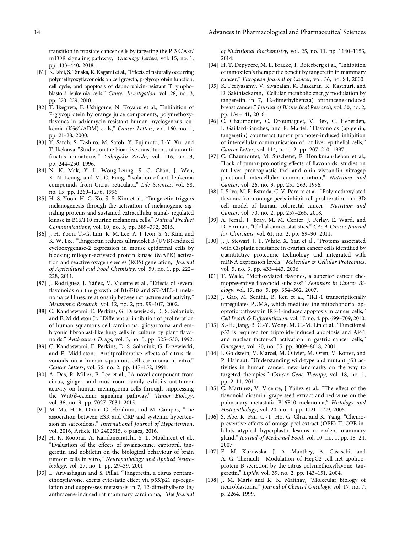<span id="page-13-0"></span>transition in prostate cancer cells by targeting the PI3K/Akt/ mTOR signaling pathway," Oncology Letters, vol. 15, no. 1, pp. 433–440, 2018.

- [81] K. Ishii, S. Tanaka, K. Kagami et al., "Effects of naturally occurring polymethyoxyflavonoids on cell growth, p-glycoprotein function, cell cycle, and apoptosis of daunorubicin-resistant T lymphoblastoid leukemia cells," Cancer Investigation, vol. 28, no. 3, pp. 220–229, 2010.
- [82] T. Ikegawa, F. Ushigome, N. Koyabu et al., "Inhibition of P-glycoprotein by orange juice components, polymethoxyflavones in adriamycin-resistant human myelogenous leukemia (K562/ADM) cells," Cancer Letters, vol. 160, no. 1, pp. 21–28, 2000.
- [83] Y. Satoh, S. Tashiro, M. Satoh, Y. Fujimoto, J.-Y. Xu, and T. Ikekawa, "Studies on the bioactive constituents of aurantii fructus immaturus," Yakugaku Zasshi, vol. 116, no. 3, pp. 244–250, 1996.
- [84] N. K. Mak, Y. L. Wong-Leung, S. C. Chan, J. Wen, K. N. Leung, and M. C. Fung, "Isolation of anti-leukemia compounds from Citrus reticulata," Life Sciences, vol. 58, no. 15, pp. 1269–1276, 1996.
- [85] H. S. Yoon, H. C. Ko, S. S. Kim et al., "Tangeretin triggers melanogenesis through the activation of melanogenic signaling proteins and sustained extracellular signal- regulated kinase in B16/F10 murine melanoma cells," Natural Product Communications, vol. 10, no. 3, pp. 389–392, 2015.
- [86] J. H. Yoon, T.-G. Lim, K. M. Lee, A. J. Jeon, S. Y. Kim, and K. W. Lee, "Tangeretin reduces ultraviolet B (UVB)-induced cyclooxygenase-2 expression in mouse epidermal cells by blocking mitogen-activated protein kinase (MAPK) activation and reactive oxygen species (ROS) generation," Journal of Agricultural and Food Chemistry, vol. 59, no. 1, pp. 222– 228, 2011.
- [87] J. Rodriguez, J. Yáñez, V. Vicente et al., "Effects of several flavonoids on the growth of B16F10 and SK-MEL-1 melanoma cell lines: relationship between structure and activity," Melanoma Research, vol. 12, no. 2, pp. 99–107, 2002.
- [88] C. Kandaswami, E. Perkins, G. Drzewiecki, D. S. Soloniuk, and E. Middleton Jr, "Differential inhibition of proliferation of human squamous cell carcinoma, gliosarcoma and embryonic fibroblast-like lung cells in culture by plant flavonoids," Anti-cancer Drugs, vol. 3, no. 5, pp. 525–530, 1992.
- [89] C. Kandaswami, E. Perkins, D. S. Soloniuk, G. Drzewiecki, and E. Middleton, "Antitproliferative effects of citrus flavonoids on a human squamous cell carcinoma in vitro," Cancer Letters, vol. 56, no. 2, pp. 147–152, 1991.
- [90] A. Das, R. Miller, P. Lee et al., "A novel component from citrus, ginger, and mushroom family exhibits antitumor activity on human meningioma cells through suppressing the Wnt/β-catenin signaling pathway," Tumor Biology, vol. 36, no. 9, pp. 7027–7034, 2015.
- $[91]$  M. Ma, H. R. Omar, G. Ebrahimi, and M. Campos, "The association between ESR and CRP and systemic hypertension in sarcoidosis," International Journal of Hypertension, vol. 2016, Article ID 2402515, 8 pages, 2016.
- [92] H. K. Rooprai, A. Kandanearatchi, S. L. Maidment et al., "Evaluation of the effects of swainsonine, captopril, tangeretin and nobiletin on the biological behaviour of brain tumour cells in vitro," Neuropathology and Applied Neurobiology, vol. 27, no. 1, pp. 29–39, 2001.
- [93] L. Arivazhagan and S. Pillai, "Tangeretin, a citrus pentamethoxyflavone, exerts cytostatic effect via p53/p21 up-regulation and suppresses metastasis in 7, 12-dimethylbenz  $(\alpha)$ anthracene-induced rat mammary carcinoma," The Journal

of Nutritional Biochemistry, vol. 25, no. 11, pp. 1140–1153, 2014.

- [94] H. T. Depypere, M. E. Bracke, T. Boterberg et al., "Inhibition of tamoxifen's therapeutic benefit by tangeretin in mammary cancer," European Journal of Cancer, vol. 36, no. S4, 2000.
- [95] K. Periyasamy, V. Sivabalan, K. Baskaran, K. Kasthuri, and D. Sakthisekaran, "Cellular metabolic energy modulation by tangeretin in 7, 12-dimethylbenz(a) anthracene-induced breast cancer," Journal of Biomedical Research, vol. 30, no. 2, pp. 134–141, 2016.
- [96] C. Chaumontet, C. Droumaguet, V. Bex, C. Heberden, I. Gaillard-Sanchez, and P. Martel, "Flavonoids (apigenin, tangeretin) counteract tumor promoter-induced inhibition of intercellular communication of rat liver epithelial cells," Cancer Letter, vol. 114, no. 1-2, pp. 207–210, 1997.
- [97] C. Chaumontet, M. Suschetet, E. Honikman-Leban et al., "Lack of tumor-promoting effects of flavonoids: studies on rat liver preneoplastic foci and onin vivoandin vitrogap junctional intercellular communication," Nutrition and Cancer, vol. 26, no. 3, pp. 251–263, 1996.
- [98] I. Silva, M. F. Estrada, C. V. Pereira et al., "Polymethoxylated flavones from orange peels inhibit cell proliferation in a 3D cell model of human colorectal cancer," Nutrition and Cancer, vol. 70, no. 2, pp. 257–266, 2018.
- [99] A. Jemal, F. Bray, M. M. Center, J. Ferlay, E. Ward, and D. Forman, "Global cancer statistics," CA: A Cancer Journal for Clinicians, vol. 61, no. 2, pp. 69–90, 2011.
- [100] J. J. Stewart, J. T. White, X. Yan et al., "Proteins associated with Cisplatin resistance in ovarian cancer cells identified by quantitative proteomic technology and integrated with mRNA expression levels," Molecular & Cellular Proteomics, vol. 5, no. 3, pp. 433–443, 2006.
- [101] T. Walle, "Methoxylated flavones, a superior cancer chemopreventive flavonoid subclass?" Seminars in Cancer Biology, vol. 17, no. 5, pp. 354–362, 2007.
- [102] J. Gao, M. Senthil, B. Ren et al., "IRF-1 transcriptionally upregulates PUMA, which mediates the mitochondrial apoptotic pathway in IRF-1-induced apoptosis in cancer cells," Cell Death & Differentiation, vol. 17, no. 4, pp. 699–709, 2010.
- [103] X.-H. Jiang, B. C.-Y. Wong, M. C.-M. Lin et al., "Functional p53 is required for triptolide-induced apoptosis and AP-1 and nuclear factor-κB activation in gastric cancer cells," Oncogene, vol. 20, no. 55, pp. 8009–8018, 2001.
- [104] I. Goldstein, V. Marcel, M. Olivier, M. Oren, V. Rotter, and P. Hainaut, "Understanding wild-type and mutant p53 activities in human cancer: new landmarks on the way to targeted therapies," Cancer Gene Therapy, vol. 18, no. 1, pp. 2–11, 2011.
- [105] C. Martínez, V. Vicente, J Yáñez et al., "The effect of the flavonoid diosmin, grape seed extract and red wine on the pulmonary metastatic B16F10 melanoma," Histology and Histopathology, vol. 20, no. 4, pp. 1121–1129, 2005.
- [106] S. Abe, K. Fan, C.-T. Ho, G. Ghai, and K. Yang, "Chemopreventive effects of orange peel extract (OPE) II. OPE inhibits atypical hyperplastic lesions in rodent mammary gland," Journal of Medicinal Food, vol. 10, no. 1, pp. 18–24, 2007.
- [107] E. M. Kurowska, J. A. Manthey, A. Casaschi, and A. G. Theriault, "Modulation of HepG2 cell net apolipoprotein B secretion by the citrus polymethoxyflavone, tangeretin," Lipids, vol. 39, no. 2, pp. 143–151, 2004.
- [108] J. M. Maris and K. K. Matthay, "Molecular biology of neuroblastoma," Journal of Clinical Oncology, vol. 17, no. 7, p. 2264, 1999.